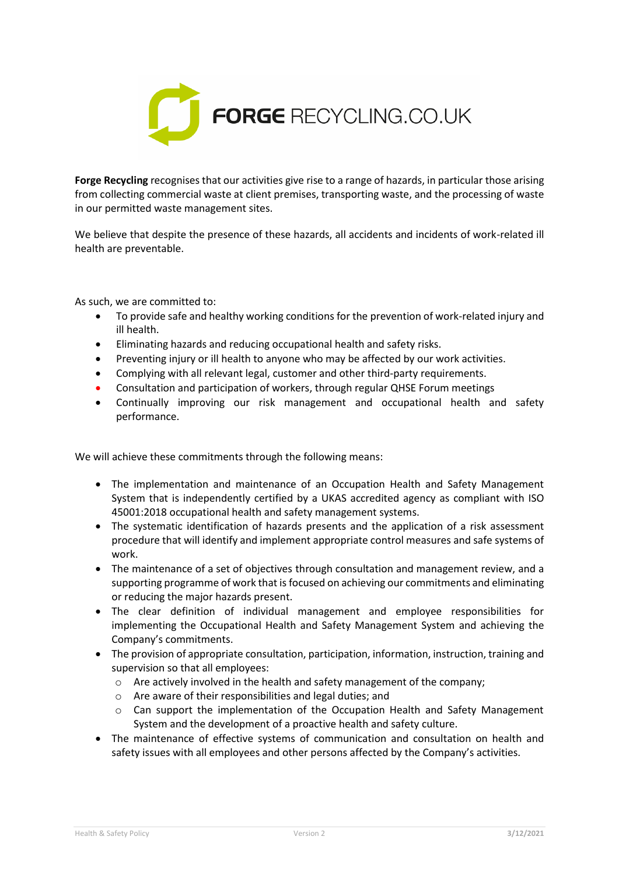

**Forge Recycling** recognises that our activities give rise to a range of hazards, in particular those arising from collecting commercial waste at client premises, transporting waste, and the processing of waste in our permitted waste management sites.

We believe that despite the presence of these hazards, all accidents and incidents of work-related ill health are preventable.

As such, we are committed to:

- To provide safe and healthy working conditions for the prevention of work-related injury and ill health.
- Eliminating hazards and reducing occupational health and safety risks.
- Preventing injury or ill health to anyone who may be affected by our work activities.
- Complying with all relevant legal, customer and other third-party requirements.
- Consultation and participation of workers, through regular QHSE Forum meetings
- Continually improving our risk management and occupational health and safety performance.

We will achieve these commitments through the following means:

- The implementation and maintenance of an Occupation Health and Safety Management System that is independently certified by a UKAS accredited agency as compliant with ISO 45001:2018 occupational health and safety management systems.
- The systematic identification of hazards presents and the application of a risk assessment procedure that will identify and implement appropriate control measures and safe systems of work.
- The maintenance of a set of objectives through consultation and management review, and a supporting programme of work that is focused on achieving our commitments and eliminating or reducing the major hazards present.
- The clear definition of individual management and employee responsibilities for implementing the Occupational Health and Safety Management System and achieving the Company's commitments.
- The provision of appropriate consultation, participation, information, instruction, training and supervision so that all employees:
	- $\circ$  Are actively involved in the health and safety management of the company;
	- o Are aware of their responsibilities and legal duties; and
	- o Can support the implementation of the Occupation Health and Safety Management System and the development of a proactive health and safety culture.
- The maintenance of effective systems of communication and consultation on health and safety issues with all employees and other persons affected by the Company's activities.